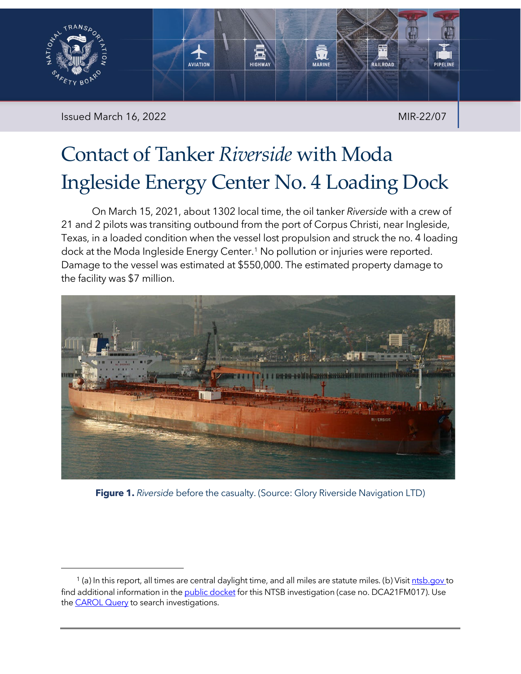

Issued March 16, 2022 **MIR-22/07** MIR-22/07

# Contact of Tanker *Riverside* with Moda Ingleside Energy Center No. 4 Loading Dock

On March 15, 2021, about 1302 local time, the oil tanker *Riverside* with a crew of 21 and 2 pilots was transiting outbound from the port of Corpus Christi, near Ingleside, Texas, in a loaded condition when the vessel lost propulsion and struck the no. 4 loading dock at the Moda Ingleside Energy Center. [1](#page-0-0) No pollution or injuries were reported. Damage to the vessel was estimated at \$550,000. The estimated property damage to the facility was \$7 million.



**Figure 1.** *Riverside* before the casualty. (Source: Glory Riverside Navigation LTD)

<span id="page-0-0"></span><sup>&</sup>lt;sup>1</sup> (a) In this report, all times are central daylight time, and all miles are statute miles. (b) Visit *ntsb.gov* to find additional information in the [public docket](https://data.ntsb.gov/Docket/Forms/searchdocket) for this NTSB investigation (case no. DCA21FM017). Use the **CAROL Query** to search investigations.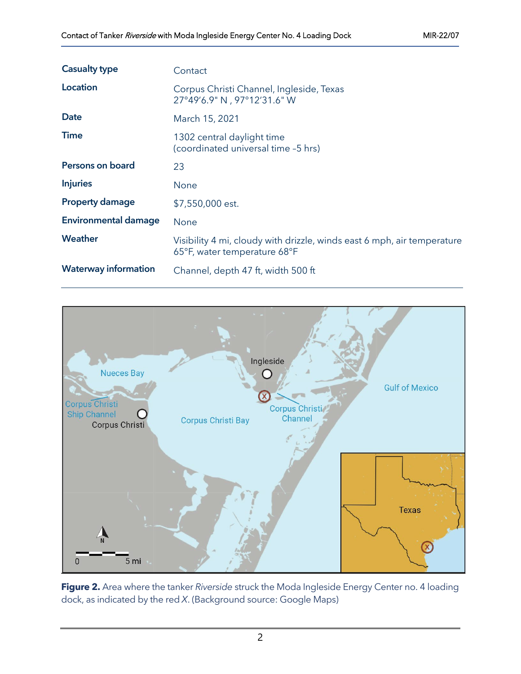| <b>Casualty type</b>        | Contact                                                                                                 |
|-----------------------------|---------------------------------------------------------------------------------------------------------|
| Location                    | Corpus Christi Channel, Ingleside, Texas<br>27°49'6.9" N, 97°12'31.6" W                                 |
| <b>Date</b>                 | March 15, 2021                                                                                          |
| <b>Time</b>                 | 1302 central daylight time<br>(coordinated universal time -5 hrs)                                       |
| Persons on board            | 23                                                                                                      |
| <b>Injuries</b>             | None                                                                                                    |
| <b>Property damage</b>      | \$7,550,000 est.                                                                                        |
| <b>Environmental damage</b> | <b>None</b>                                                                                             |
| Weather                     | Visibility 4 mi, cloudy with drizzle, winds east 6 mph, air temperature<br>65°F, water temperature 68°F |
| <b>Waterway information</b> | Channel, depth 47 ft, width 500 ft                                                                      |



**Figure 2.** Area where the tanker *Riverside* struck the Moda Ingleside Energy Center no. 4 loading dock, as indicated by the red *X*. (Background source: Google Maps)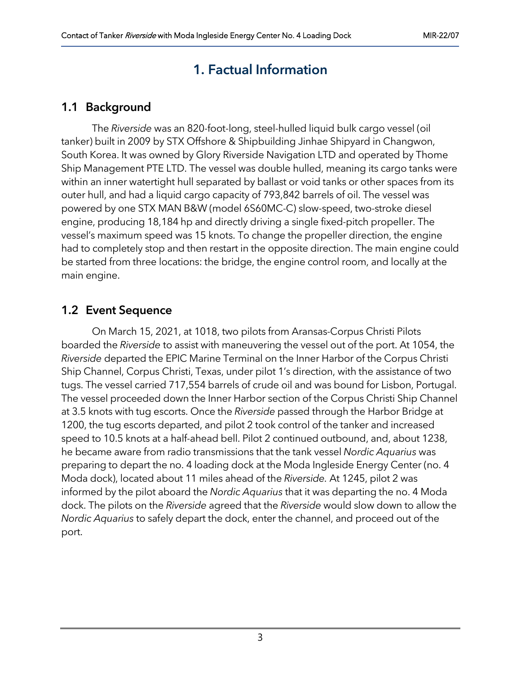# 1. Factual Information

## 1.1 Background

The *Riverside* was an 820-foot-long, steel-hulled liquid bulk cargo vessel (oil tanker) built in 2009 by STX Offshore & Shipbuilding Jinhae Shipyard in Changwon, South Korea. It was owned by Glory Riverside Navigation LTD and operated by Thome Ship Management PTE LTD. The vessel was double hulled, meaning its cargo tanks were within an inner watertight hull separated by ballast or void tanks or other spaces from its outer hull, and had a liquid cargo capacity of 793,842 barrels of oil. The vessel was powered by one STX MAN B&W (model 6S60MC-C) slow-speed, two-stroke diesel engine, producing 18,184 hp and directly driving a single fixed-pitch propeller. The vessel's maximum speed was 15 knots. To change the propeller direction, the engine had to completely stop and then restart in the opposite direction. The main engine could be started from three locations: the bridge, the engine control room, and locally at the main engine.

## 1.2 Event Sequence

On March 15, 2021, at 1018, two pilots from Aransas-Corpus Christi Pilots boarded the *Riverside* to assist with maneuvering the vessel out of the port. At 1054, the *Riverside* departed the EPIC Marine Terminal on the Inner Harbor of the Corpus Christi Ship Channel, Corpus Christi, Texas, under pilot 1's direction, with the assistance of two tugs. The vessel carried 717,554 barrels of crude oil and was bound for Lisbon, Portugal. The vessel proceeded down the Inner Harbor section of the Corpus Christi Ship Channel at 3.5 knots with tug escorts. Once the *Riverside* passed through the Harbor Bridge at 1200, the tug escorts departed, and pilot 2 took control of the tanker and increased speed to 10.5 knots at a half-ahead bell. Pilot 2 continued outbound, and, about 1238, he became aware from radio transmissions that the tank vessel *Nordic Aquarius* was preparing to depart the no. 4 loading dock at the Moda Ingleside Energy Center (no. 4 Moda dock), located about 11 miles ahead of the *Riverside.* At 1245, pilot 2 was informed by the pilot aboard the *Nordic Aquarius* that it was departing the no. 4 Moda dock. The pilots on the *Riverside* agreed that the *Riverside* would slow down to allow the *Nordic Aquarius* to safely depart the dock, enter the channel, and proceed out of the port.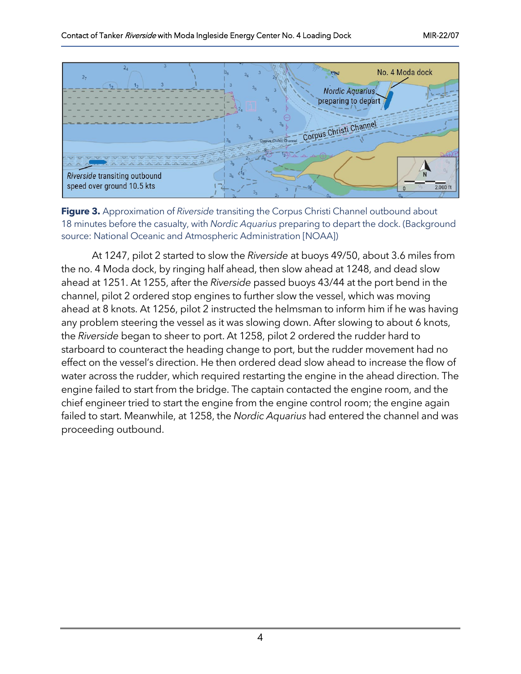

**Figure 3.** Approximation of *Riverside* transiting the Corpus Christi Channel outbound about 18 minutes before the casualty, with *Nordic Aquarius* preparing to depart the dock. (Background source: National Oceanic and Atmospheric Administration [NOAA])

At 1247, pilot 2 started to slow the *Riverside* at buoys 49/50, about 3.6 miles from the no. 4 Moda dock, by ringing half ahead, then slow ahead at 1248, and dead slow ahead at 1251. At 1255, after the *Riverside* passed buoys 43/44 at the port bend in the channel, pilot 2 ordered stop engines to further slow the vessel, which was moving ahead at 8 knots. At 1256, pilot 2 instructed the helmsman to inform him if he was having any problem steering the vessel as it was slowing down. After slowing to about 6 knots, the *Riverside* began to sheer to port. At 1258, pilot 2 ordered the rudder hard to starboard to counteract the heading change to port, but the rudder movement had no effect on the vessel's direction. He then ordered dead slow ahead to increase the flow of water across the rudder, which required restarting the engine in the ahead direction. The engine failed to start from the bridge. The captain contacted the engine room, and the chief engineer tried to start the engine from the engine control room; the engine again failed to start. Meanwhile, at 1258, the *Nordic Aquarius* had entered the channel and was proceeding outbound.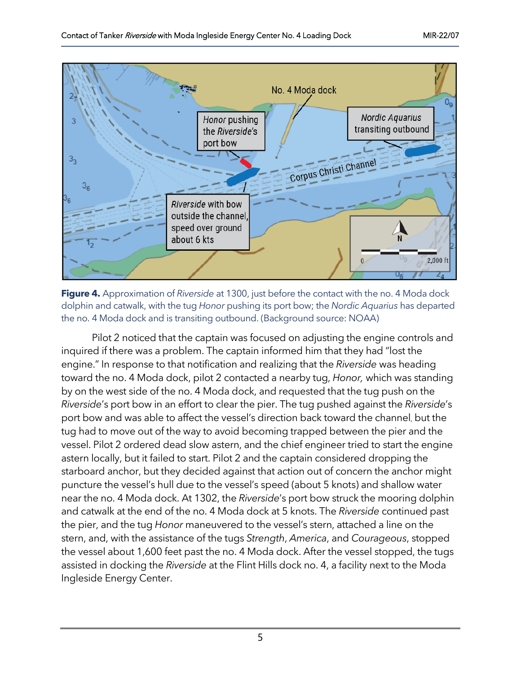

**Figure 4.** Approximation of *Riverside* at 1300, just before the contact with the no. 4 Moda dock dolphin and catwalk, with the tug *Honor* pushing its port bow; the *Nordic Aquarius* has departed the no. 4 Moda dock and is transiting outbound. (Background source: NOAA)

Pilot 2 noticed that the captain was focused on adjusting the engine controls and inquired if there was a problem. The captain informed him that they had "lost the engine." In response to that notification and realizing that the *Riverside* was heading toward the no. 4 Moda dock, pilot 2 contacted a nearby tug, *Honor,* which was standing by on the west side of the no. 4 Moda dock, and requested that the tug push on the *Riverside*'s port bow in an effort to clear the pier. The tug pushed against the *Riverside*'s port bow and was able to affect the vessel's direction back toward the channel, but the tug had to move out of the way to avoid becoming trapped between the pier and the vessel. Pilot 2 ordered dead slow astern, and the chief engineer tried to start the engine astern locally, but it failed to start. Pilot 2 and the captain considered dropping the starboard anchor, but they decided against that action out of concern the anchor might puncture the vessel's hull due to the vessel's speed (about 5 knots) and shallow water near the no. 4 Moda dock. At 1302, the *Riverside*'s port bow struck the mooring dolphin and catwalk at the end of the no. 4 Moda dock at 5 knots. The *Riverside* continued past the pier, and the tug *Honor* maneuvered to the vessel's stern, attached a line on the stern, and, with the assistance of the tugs *Strength*, *America*, and *Courageous*, stopped the vessel about 1,600 feet past the no. 4 Moda dock. After the vessel stopped, the tugs assisted in docking the *Riverside* at the Flint Hills dock no. 4, a facility next to the Moda Ingleside Energy Center.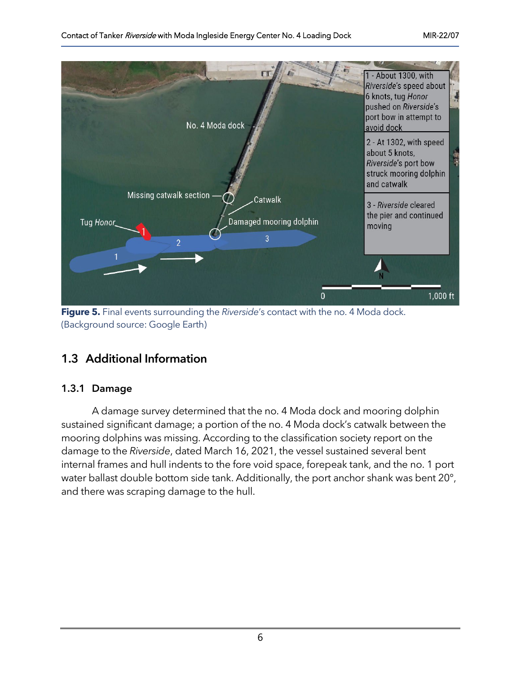

**Figure 5.** Final events surrounding the *Riverside*'s contact with the no. 4 Moda dock. (Background source: Google Earth)

## 1.3 Additional Information

#### 1.3.1 Damage

A damage survey determined that the no. 4 Moda dock and mooring dolphin sustained significant damage; a portion of the no. 4 Moda dock's catwalk between the mooring dolphins was missing. According to the classification society report on the damage to the *Riverside*, dated March 16, 2021, the vessel sustained several bent internal frames and hull indents to the fore void space, forepeak tank, and the no. 1 port water ballast double bottom side tank. Additionally, the port anchor shank was bent 20°, and there was scraping damage to the hull.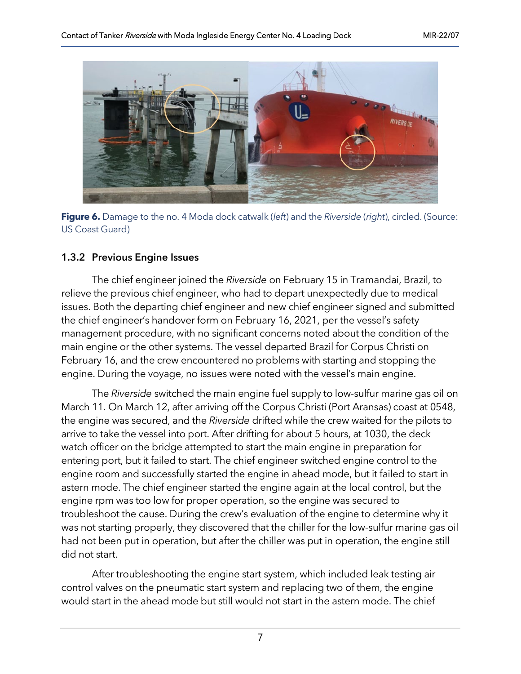

**Figure 6.** Damage to the no. 4 Moda dock catwalk (*left*) and the *Riverside* (*right*), circled. (Source: US Coast Guard)

#### 1.3.2 Previous Engine Issues

The chief engineer joined the *Riverside* on February 15 in Tramandai, Brazil, to relieve the previous chief engineer, who had to depart unexpectedly due to medical issues. Both the departing chief engineer and new chief engineer signed and submitted the chief engineer's handover form on February 16, 2021, per the vessel's safety management procedure, with no significant concerns noted about the condition of the main engine or the other systems. The vessel departed Brazil for Corpus Christi on February 16, and the crew encountered no problems with starting and stopping the engine. During the voyage, no issues were noted with the vessel's main engine.

The *Riverside* switched the main engine fuel supply to low-sulfur marine gas oil on March 11. On March 12, after arriving off the Corpus Christi (Port Aransas) coast at 0548, the engine was secured, and the *Riverside* drifted while the crew waited for the pilots to arrive to take the vessel into port. After drifting for about 5 hours, at 1030, the deck watch officer on the bridge attempted to start the main engine in preparation for entering port, but it failed to start. The chief engineer switched engine control to the engine room and successfully started the engine in ahead mode, but it failed to start in astern mode. The chief engineer started the engine again at the local control, but the engine rpm was too low for proper operation, so the engine was secured to troubleshoot the cause. During the crew's evaluation of the engine to determine why it was not starting properly, they discovered that the chiller for the low-sulfur marine gas oil had not been put in operation, but after the chiller was put in operation, the engine still did not start.

After troubleshooting the engine start system, which included leak testing air control valves on the pneumatic start system and replacing two of them, the engine would start in the ahead mode but still would not start in the astern mode. The chief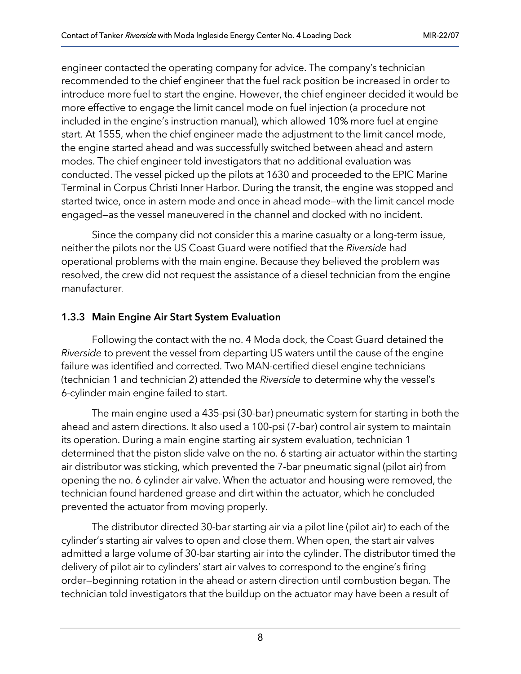engineer contacted the operating company for advice. The company's technician recommended to the chief engineer that the fuel rack position be increased in order to introduce more fuel to start the engine. However, the chief engineer decided it would be more effective to engage the limit cancel mode on fuel injection (a procedure not included in the engine's instruction manual), which allowed 10% more fuel at engine start. At 1555, when the chief engineer made the adjustment to the limit cancel mode, the engine started ahead and was successfully switched between ahead and astern modes. The chief engineer told investigators that no additional evaluation was conducted. The vessel picked up the pilots at 1630 and proceeded to the EPIC Marine Terminal in Corpus Christi Inner Harbor. During the transit, the engine was stopped and started twice, once in astern mode and once in ahead mode—with the limit cancel mode engaged—as the vessel maneuvered in the channel and docked with no incident.

Since the company did not consider this a marine casualty or a long-term issue, neither the pilots nor the US Coast Guard were notified that the *Riverside* had operational problems with the main engine. Because they believed the problem was resolved, the crew did not request the assistance of a diesel technician from the engine manufacturer.

#### 1.3.3 Main Engine Air Start System Evaluation

Following the contact with the no. 4 Moda dock, the Coast Guard detained the *Riverside* to prevent the vessel from departing US waters until the cause of the engine failure was identified and corrected. Two MAN-certified diesel engine technicians (technician 1 and technician 2) attended the *Riverside* to determine why the vessel's 6-cylinder main engine failed to start.

The main engine used a 435-psi (30-bar) pneumatic system for starting in both the ahead and astern directions. It also used a 100-psi (7-bar) control air system to maintain its operation. During a main engine starting air system evaluation, technician 1 determined that the piston slide valve on the no. 6 starting air actuator within the starting air distributor was sticking, which prevented the 7-bar pneumatic signal (pilot air) from opening the no. 6 cylinder air valve. When the actuator and housing were removed, the technician found hardened grease and dirt within the actuator, which he concluded prevented the actuator from moving properly.

The distributor directed 30-bar starting air via a pilot line (pilot air) to each of the cylinder's starting air valves to open and close them. When open, the start air valves admitted a large volume of 30-bar starting air into the cylinder. The distributor timed the delivery of pilot air to cylinders' start air valves to correspond to the engine's firing order—beginning rotation in the ahead or astern direction until combustion began. The technician told investigators that the buildup on the actuator may have been a result of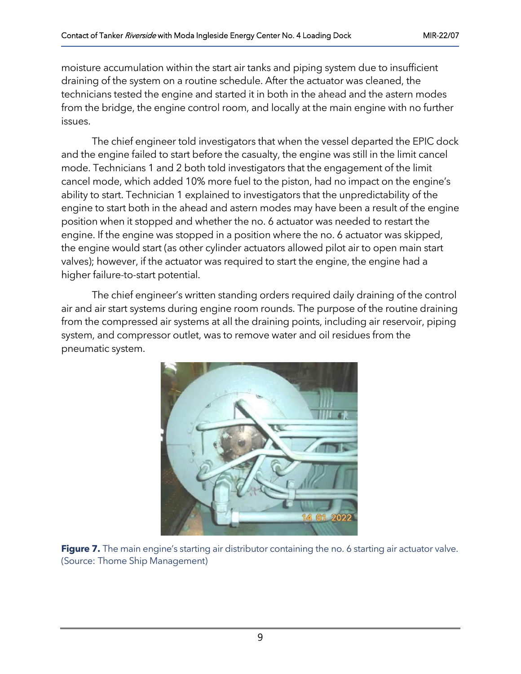moisture accumulation within the start air tanks and piping system due to insufficient draining of the system on a routine schedule. After the actuator was cleaned, the technicians tested the engine and started it in both in the ahead and the astern modes from the bridge, the engine control room, and locally at the main engine with no further issues.

The chief engineer told investigators that when the vessel departed the EPIC dock and the engine failed to start before the casualty, the engine was still in the limit cancel mode. Technicians 1 and 2 both told investigators that the engagement of the limit cancel mode, which added 10% more fuel to the piston, had no impact on the engine's ability to start. Technician 1 explained to investigators that the unpredictability of the engine to start both in the ahead and astern modes may have been a result of the engine position when it stopped and whether the no. 6 actuator was needed to restart the engine. If the engine was stopped in a position where the no. 6 actuator was skipped, the engine would start (as other cylinder actuators allowed pilot air to open main start valves); however, if the actuator was required to start the engine, the engine had a higher failure-to-start potential.

The chief engineer's written standing orders required daily draining of the control air and air start systems during engine room rounds. The purpose of the routine draining from the compressed air systems at all the draining points, including air reservoir, piping system, and compressor outlet, was to remove water and oil residues from the pneumatic system.



**Figure 7.** The main engine's starting air distributor containing the no. 6 starting air actuator valve. (Source: Thome Ship Management)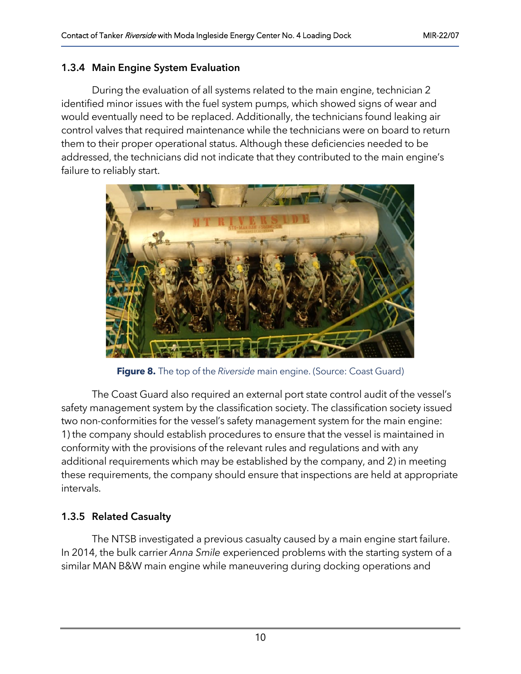#### 1.3.4 Main Engine System Evaluation

During the evaluation of all systems related to the main engine, technician 2 identified minor issues with the fuel system pumps, which showed signs of wear and would eventually need to be replaced. Additionally, the technicians found leaking air control valves that required maintenance while the technicians were on board to return them to their proper operational status. Although these deficiencies needed to be addressed, the technicians did not indicate that they contributed to the main engine's failure to reliably start.



**Figure 8.** The top of the *Riverside* main engine. (Source: Coast Guard)

The Coast Guard also required an external port state control audit of the vessel's safety management system by the classification society. The classification society issued two non-conformities for the vessel's safety management system for the main engine: 1) the company should establish procedures to ensure that the vessel is maintained in conformity with the provisions of the relevant rules and regulations and with any additional requirements which may be established by the company, and 2) in meeting these requirements, the company should ensure that inspections are held at appropriate intervals.

#### 1.3.5 Related Casualty

The NTSB investigated a previous casualty caused by a main engine start failure. In 2014, the bulk carrier *Anna Smile* experienced problems with the starting system of a similar MAN B&W main engine while maneuvering during docking operations and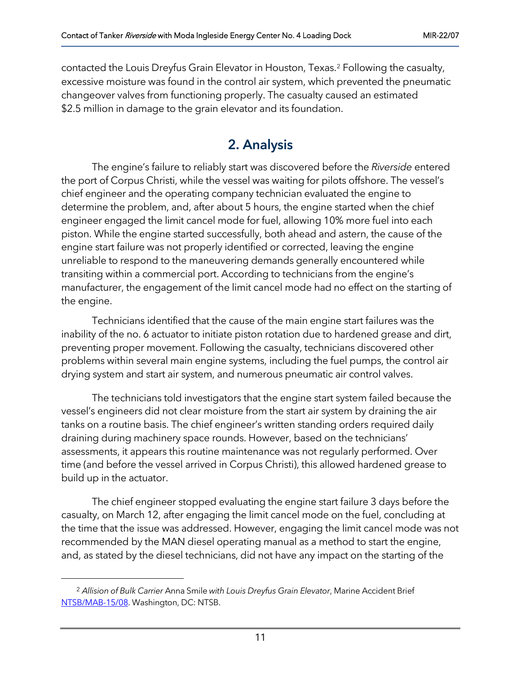contacted the Louis Dreyfus Grain Elevator in Houston, Texas.[2](#page-10-0) Following the casualty, excessive moisture was found in the control air system, which prevented the pneumatic changeover valves from functioning properly. The casualty caused an estimated \$2.5 million in damage to the grain elevator and its foundation.

# 2. Analysis

The engine's failure to reliably start was discovered before the *Riverside* entered the port of Corpus Christi, while the vessel was waiting for pilots offshore. The vessel's chief engineer and the operating company technician evaluated the engine to determine the problem, and, after about 5 hours, the engine started when the chief engineer engaged the limit cancel mode for fuel, allowing 10% more fuel into each piston. While the engine started successfully, both ahead and astern, the cause of the engine start failure was not properly identified or corrected, leaving the engine unreliable to respond to the maneuvering demands generally encountered while transiting within a commercial port. According to technicians from the engine's manufacturer, the engagement of the limit cancel mode had no effect on the starting of the engine.

Technicians identified that the cause of the main engine start failures was the inability of the no. 6 actuator to initiate piston rotation due to hardened grease and dirt, preventing proper movement. Following the casualty, technicians discovered other problems within several main engine systems, including the fuel pumps, the control air drying system and start air system, and numerous pneumatic air control valves.

The technicians told investigators that the engine start system failed because the vessel's engineers did not clear moisture from the start air system by draining the air tanks on a routine basis. The chief engineer's written standing orders required daily draining during machinery space rounds. However, based on the technicians' assessments, it appears this routine maintenance was not regularly performed. Over time (and before the vessel arrived in Corpus Christi), this allowed hardened grease to build up in the actuator.

The chief engineer stopped evaluating the engine start failure 3 days before the casualty, on March 12, after engaging the limit cancel mode on the fuel, concluding at the time that the issue was addressed. However, engaging the limit cancel mode was not recommended by the MAN diesel operating manual as a method to start the engine, and, as stated by the diesel technicians, did not have any impact on the starting of the

<span id="page-10-0"></span><sup>2</sup> *Allision of Bulk Carrier* Anna Smile *with Louis Dreyfus Grain Elevator*, Marine Accident Brief [NTSB/MAB-15/08.](https://www.ntsb.gov/investigations/AccidentReports/Reports/MAB1508.pdf) Washington, DC: NTSB.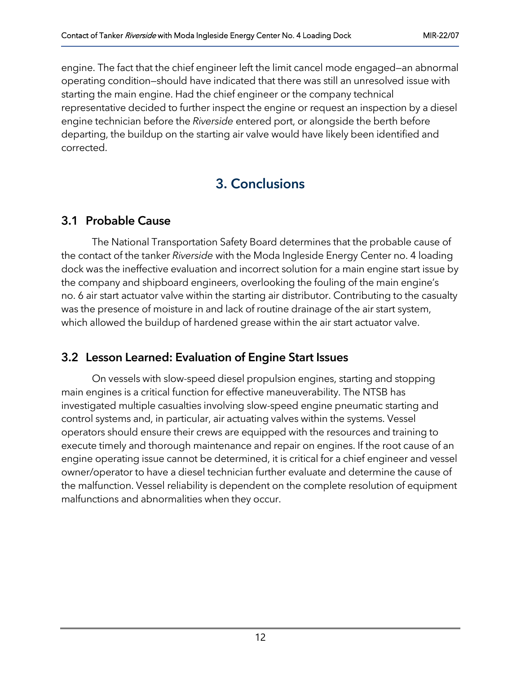engine. The fact that the chief engineer left the limit cancel mode engaged—an abnormal operating condition—should have indicated that there was still an unresolved issue with starting the main engine. Had the chief engineer or the company technical representative decided to further inspect the engine or request an inspection by a diesel engine technician before the *Riverside* entered port, or alongside the berth before departing, the buildup on the starting air valve would have likely been identified and corrected.

# 3. Conclusions

# 3.1 Probable Cause

The National Transportation Safety Board determines that the probable cause of the contact of the tanker *Riverside* with the Moda Ingleside Energy Center no. 4 loading dock was the ineffective evaluation and incorrect solution for a main engine start issue by the company and shipboard engineers, overlooking the fouling of the main engine's no. 6 air start actuator valve within the starting air distributor. Contributing to the casualty was the presence of moisture in and lack of routine drainage of the air start system, which allowed the buildup of hardened grease within the air start actuator valve.

## 3.2 Lesson Learned: Evaluation of Engine Start Issues

On vessels with slow-speed diesel propulsion engines, starting and stopping main engines is a critical function for effective maneuverability. The NTSB has investigated multiple casualties involving slow-speed engine pneumatic starting and control systems and, in particular, air actuating valves within the systems. Vessel operators should ensure their crews are equipped with the resources and training to execute timely and thorough maintenance and repair on engines. If the root cause of an engine operating issue cannot be determined, it is critical for a chief engineer and vessel owner/operator to have a diesel technician further evaluate and determine the cause of the malfunction. Vessel reliability is dependent on the complete resolution of equipment malfunctions and abnormalities when they occur.